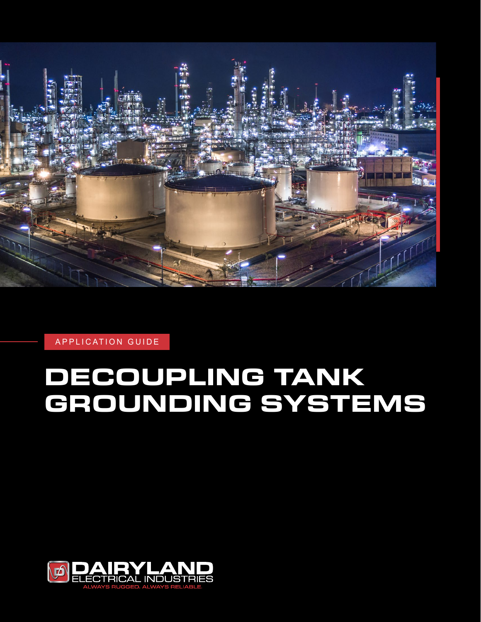

APPLICATION GUIDE

# **DECOUPLING TANK GROUNDING SYSTEMS**

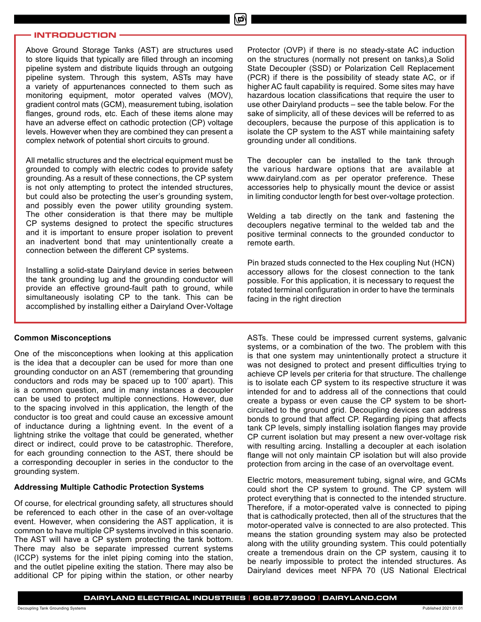#### **INTRODUCTION**

Above Ground Storage Tanks (AST) are structures used to store liquids that typically are filled through an incoming pipeline system and distribute liquids through an outgoing pipeline system. Through this system, ASTs may have a variety of appurtenances connected to them such as monitoring equipment, motor operated valves (MOV), gradient control mats (GCM), measurement tubing, isolation flanges, ground rods, etc. Each of these items alone may have an adverse effect on cathodic protection (CP) voltage levels. However when they are combined they can present a complex network of potential short circuits to ground.

All metallic structures and the electrical equipment must be grounded to comply with electric codes to provide safety grounding. As a result of these connections, the CP system is not only attempting to protect the intended structures, but could also be protecting the user's grounding system, and possibly even the power utility grounding system. The other consideration is that there may be multiple CP systems designed to protect the specific structures and it is important to ensure proper isolation to prevent an inadvertent bond that may unintentionally create a connection between the different CP systems.

Installing a solid-state Dairyland device in series between the tank grounding lug and the grounding conductor will provide an effective ground-fault path to ground, while simultaneously isolating CP to the tank. This can be accomplished by installing either a Dairyland Over-Voltage

#### **Common Misconceptions**

One of the misconceptions when looking at this application is the idea that a decoupler can be used for more than one grounding conductor on an AST (remembering that grounding conductors and rods may be spaced up to 100' apart). This is a common question, and in many instances a decoupler can be used to protect multiple connections. However, due to the spacing involved in this application, the length of the conductor is too great and could cause an excessive amount of inductance during a lightning event. In the event of a lightning strike the voltage that could be generated, whether direct or indirect, could prove to be catastrophic. Therefore, for each grounding connection to the AST, there should be a corresponding decoupler in series in the conductor to the grounding system.

#### **Addressing Multiple Cathodic Protection Systems**

Of course, for electrical grounding safety, all structures should be referenced to each other in the case of an over-voltage event. However, when considering the AST application, it is common to have multiple CP systems involved in this scenario. The AST will have a CP system protecting the tank bottom. There may also be separate impressed current systems (ICCP) systems for the inlet piping coming into the station, and the outlet pipeline exiting the station. There may also be additional CP for piping within the station, or other nearby Protector (OVP) if there is no steady-state AC induction on the structures (normally not present on tanks),a Solid State Decoupler (SSD) or Polarization Cell Replacement (PCR) if there is the possibility of steady state AC, or if higher AC fault capability is required. Some sites may have hazardous location classifications that require the user to use other Dairyland products – see the table below. For the sake of simplicity, all of these devices will be referred to as decouplers, because the purpose of this application is to isolate the CP system to the AST while maintaining safety grounding under all conditions.

The decoupler can be installed to the tank through the various hardware options that are available at www.dairyland.com as per operator preference. These accessories help to physically mount the device or assist in limiting conductor length for best over-voltage protection.

Welding a tab directly on the tank and fastening the decouplers negative terminal to the welded tab and the positive terminal connects to the grounded conductor to remote earth.

Pin brazed studs connected to the Hex coupling Nut (HCN) accessory allows for the closest connection to the tank possible. For this application, it is necessary to request the rotated terminal configuration in order to have the terminals facing in the right direction

ASTs. These could be impressed current systems, galvanic systems, or a combination of the two. The problem with this is that one system may unintentionally protect a structure it was not designed to protect and present difficulties trying to achieve CP levels per criteria for that structure. The challenge is to isolate each CP system to its respective structure it was intended for and to address all of the connections that could create a bypass or even cause the CP system to be shortcircuited to the ground grid. Decoupling devices can address bonds to ground that affect CP. Regarding piping that affects tank CP levels, simply installing isolation flanges may provide CP current isolation but may present a new over-voltage risk with resulting arcing. Installing a decoupler at each isolation flange will not only maintain CP isolation but will also provide protection from arcing in the case of an overvoltage event.

Electric motors, measurement tubing, signal wire, and GCMs could short the CP system to ground. The CP system will protect everything that is connected to the intended structure. Therefore, if a motor-operated valve is connected to piping that is cathodically protected, then all of the structures that the motor-operated valve is connected to are also protected. This means the station grounding system may also be protected along with the utility grounding system. This could potentially create a tremendous drain on the CP system, causing it to be nearly impossible to protect the intended structures. As Dairyland devices meet NFPA 70 (US National Electrical